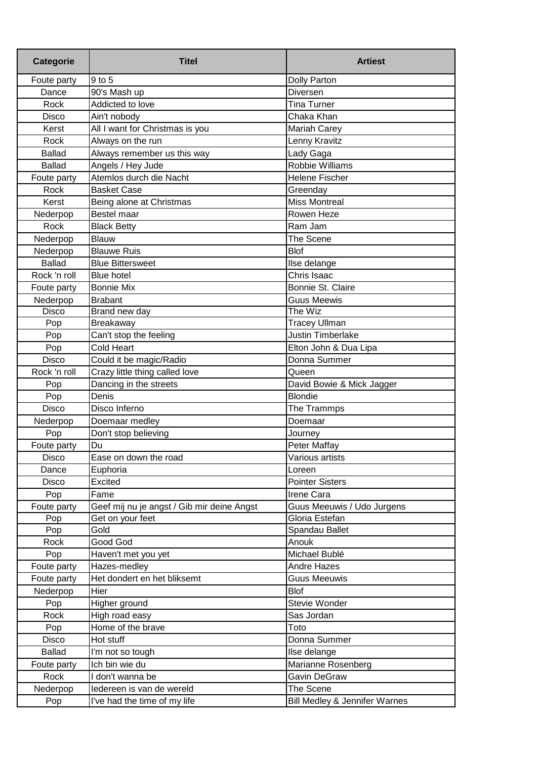| <b>Categorie</b> | <b>Titel</b>                               | <b>Artiest</b>                |
|------------------|--------------------------------------------|-------------------------------|
| Foute party      | 9 to 5                                     | <b>Dolly Parton</b>           |
| Dance            | 90's Mash up                               | Diversen                      |
| Rock             | Addicted to love                           | <b>Tina Turner</b>            |
| Disco            | Ain't nobody                               | Chaka Khan                    |
| Kerst            | All I want for Christmas is you            | <b>Mariah Carey</b>           |
| Rock             | Always on the run                          | Lenny Kravitz                 |
| <b>Ballad</b>    | Always remember us this way                | Lady Gaga                     |
| <b>Ballad</b>    | Angels / Hey Jude                          | Robbie Williams               |
| Foute party      | Atemlos durch die Nacht                    | <b>Helene Fischer</b>         |
| Rock             | <b>Basket Case</b>                         | Greenday                      |
| Kerst            | Being alone at Christmas                   | <b>Miss Montreal</b>          |
| Nederpop         | Bestel maar                                | Rowen Heze                    |
| Rock             | <b>Black Betty</b>                         | Ram Jam                       |
| Nederpop         | Blauw                                      | The Scene                     |
| Nederpop         | <b>Blauwe Ruis</b>                         | <b>Blof</b>                   |
| <b>Ballad</b>    | <b>Blue Bittersweet</b>                    | Ilse delange                  |
| Rock 'n roll     | <b>Blue hotel</b>                          | Chris Isaac                   |
| Foute party      | <b>Bonnie Mix</b>                          | Bonnie St. Claire             |
| Nederpop         | <b>Brabant</b>                             | <b>Guus Meewis</b>            |
| Disco            | Brand new day                              | The Wiz                       |
| Pop              | <b>Breakaway</b>                           | <b>Tracey Ullman</b>          |
| Pop              | Can't stop the feeling                     | <b>Justin Timberlake</b>      |
| Pop              | Cold Heart                                 | Elton John & Dua Lipa         |
| <b>Disco</b>     | Could it be magic/Radio                    | Donna Summer                  |
| Rock 'n roll     | Crazy little thing called love             | Queen                         |
| Pop              | Dancing in the streets                     | David Bowie & Mick Jagger     |
| Pop              | Denis                                      | <b>Blondie</b>                |
| <b>Disco</b>     | Disco Inferno                              | The Trammps                   |
| Nederpop         | Doemaar medley                             | Doemaar                       |
| Pop              | Don't stop believing                       | Journey                       |
| Foute party      | Du                                         | Peter Maffay                  |
| Disco            | Ease on down the road                      | Various artists               |
| Dance            | Euphoria                                   | Loreen                        |
| <b>Disco</b>     | Excited                                    | <b>Pointer Sisters</b>        |
| Pop              | Fame                                       | Irene Cara                    |
| Foute party      | Geef mij nu je angst / Gib mir deine Angst | Guus Meeuwis / Udo Jurgens    |
| Pop              | Get on your feet                           | Gloria Estefan                |
| Pop              | Gold                                       | Spandau Ballet                |
| Rock             | Good God                                   | Anouk                         |
| Pop              | Haven't met you yet                        | Michael Bublé                 |
| Foute party      | Hazes-medley                               | <b>Andre Hazes</b>            |
| Foute party      | Het dondert en het bliksemt                | <b>Guus Meeuwis</b>           |
| Nederpop         | Hier                                       | <b>Blof</b>                   |
| Pop              | Higher ground                              | Stevie Wonder                 |
| Rock             | High road easy                             | Sas Jordan                    |
| Pop              | Home of the brave                          | Toto                          |
| Disco            | Hot stuff                                  | Donna Summer                  |
| <b>Ballad</b>    | I'm not so tough                           | Ilse delange                  |
| Foute party      | Ich bin wie du                             | Marianne Rosenberg            |
| Rock             | I don't wanna be                           | Gavin DeGraw                  |
| Nederpop         | ledereen is van de wereld                  | The Scene                     |
|                  |                                            | Bill Medley & Jennifer Warnes |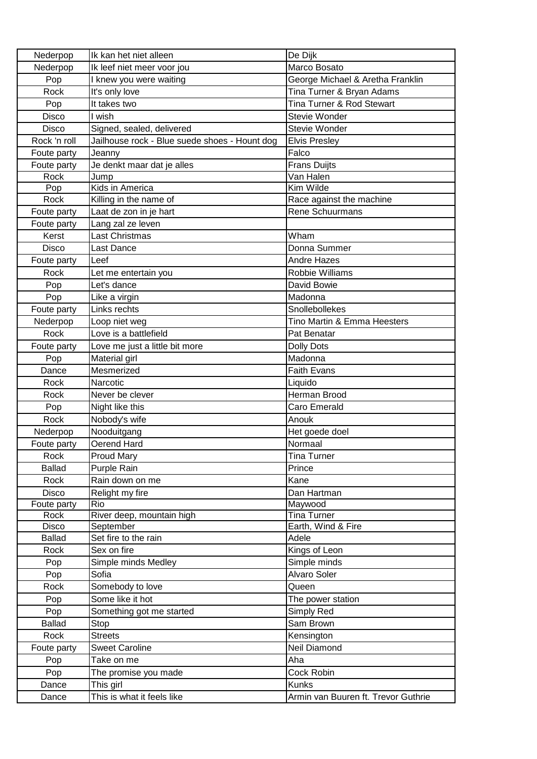| Nederpop      | Ik kan het niet alleen                        | De Dijk                             |
|---------------|-----------------------------------------------|-------------------------------------|
| Nederpop      | Ik leef niet meer voor jou                    | Marco Bosato                        |
| Pop           | I knew you were waiting                       | George Michael & Aretha Franklin    |
| Rock          | It's only love                                | Tina Turner & Bryan Adams           |
| Pop           | It takes two                                  | Tina Turner & Rod Stewart           |
| Disco         | l wish                                        | Stevie Wonder                       |
| Disco         | Signed, sealed, delivered                     | Stevie Wonder                       |
| Rock 'n roll  | Jailhouse rock - Blue suede shoes - Hount dog | <b>Elvis Presley</b>                |
| Foute party   | Jeanny                                        | Falco                               |
| Foute party   | Je denkt maar dat je alles                    | <b>Frans Duijts</b>                 |
| Rock          | Jump                                          | Van Halen                           |
| Pop           | Kids in America                               | Kim Wilde                           |
| Rock          | Killing in the name of                        | Race against the machine            |
| Foute party   | Laat de zon in je hart                        | Rene Schuurmans                     |
| Foute party   | Lang zal ze leven                             |                                     |
| Kerst         | Last Christmas                                | Wham                                |
| Disco         | Last Dance                                    | Donna Summer                        |
| Foute party   | Leef                                          | <b>Andre Hazes</b>                  |
| Rock          | Let me entertain you                          | Robbie Williams                     |
| Pop           | Let's dance                                   | David Bowie                         |
| Pop           | Like a virgin                                 | Madonna                             |
| Foute party   | Links rechts                                  | Snollebollekes                      |
| Nederpop      | Loop niet weg                                 | Tino Martin & Emma Heesters         |
| Rock          | Love is a battlefield                         | Pat Benatar                         |
| Foute party   | Love me just a little bit more                | <b>Dolly Dots</b>                   |
| Pop           | Material girl                                 | Madonna                             |
| Dance         | Mesmerized                                    | <b>Faith Evans</b>                  |
| Rock          | Narcotic                                      | Liquido                             |
| Rock          | Never be clever                               | Herman Brood                        |
| Pop           | Night like this                               | Caro Emerald                        |
| Rock          | Nobody's wife                                 | Anouk                               |
| Nederpop      | Nooduitgang                                   | Het goede doel                      |
| Foute party   | Oerend Hard                                   | Normaal                             |
| Rock          | <b>Proud Mary</b>                             | Tina Turner                         |
| <b>Ballad</b> | Purple Rain                                   | Prince                              |
| Rock          | Rain down on me                               | Kane                                |
| <b>Disco</b>  | Relight my fire                               | Dan Hartman                         |
| Foute party   | Rio                                           | Maywood                             |
| Rock          | River deep, mountain high                     | <b>Tina Turner</b>                  |
| Disco         | September                                     | Earth, Wind & Fire                  |
| <b>Ballad</b> | Set fire to the rain                          | Adele                               |
| Rock          | Sex on fire                                   | Kings of Leon                       |
| Pop           | Simple minds Medley                           | Simple minds                        |
| Pop           | Sofia                                         | <b>Alvaro Soler</b>                 |
| Rock          | Somebody to love                              | Queen                               |
| Pop           | Some like it hot                              | The power station                   |
| Pop           | Something got me started                      | Simply Red                          |
| <b>Ballad</b> | Stop                                          | Sam Brown                           |
| Rock          | <b>Streets</b>                                | Kensington                          |
| Foute party   | <b>Sweet Caroline</b>                         | Neil Diamond                        |
| Pop           | Take on me                                    | Aha                                 |
| Pop           | The promise you made                          | Cock Robin                          |
| Dance         | This girl                                     | <b>Kunks</b>                        |
| Dance         | This is what it feels like                    | Armin van Buuren ft. Trevor Guthrie |